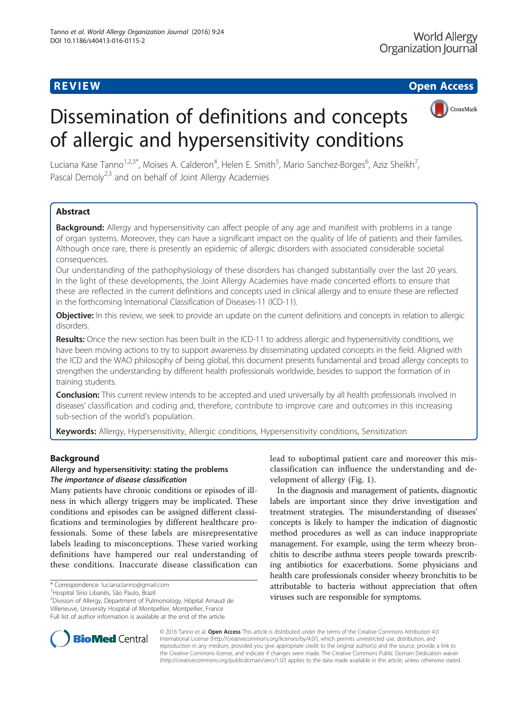**REVIEW CONSTRUCTION CONSTRUCTION CONSTRUCTION CONSTRUCTION CONSTRUCTION CONSTRUCTION CONSTRUCTION** 



# Dissemination of definitions and concepts of allergic and hypersensitivity conditions

Luciana Kase Tanno<sup>1,2,3\*</sup>, Moises A. Calderon<sup>4</sup>, Helen E. Smith<sup>5</sup>, Mario Sanchez-Borges<sup>6</sup>, Aziz Sheikh<sup>7</sup> , Pascal Demoly $^{2,3}$  and on behalf of Joint Allergy Academies

# Abstract

Background: Allergy and hypersensitivity can affect people of any age and manifest with problems in a range of organ systems. Moreover, they can have a significant impact on the quality of life of patients and their families. Although once rare, there is presently an epidemic of allergic disorders with associated considerable societal consequences.

Our understanding of the pathophysiology of these disorders has changed substantially over the last 20 years. In the light of these developments, the Joint Allergy Academies have made concerted efforts to ensure that these are reflected in the current definitions and concepts used in clinical allergy and to ensure these are reflected in the forthcoming International Classification of Diseases-11 (ICD-11).

**Objective:** In this review, we seek to provide an update on the current definitions and concepts in relation to allergic disorders.

Results: Once the new section has been built in the ICD-11 to address allergic and hypersensitivity conditions, we have been moving actions to try to support awareness by disseminating updated concepts in the field. Aligned with the ICD and the WAO philosophy of being global, this document presents fundamental and broad allergy concepts to strengthen the understanding by different health professionals worldwide, besides to support the formation of in training students.

Conclusion: This current review intends to be accepted and used universally by all health professionals involved in diseases' classification and coding and, therefore, contribute to improve care and outcomes in this increasing sub-section of the world's population.

Keywords: Allergy, Hypersensitivity, Allergic conditions, Hypersensitivity conditions, Sensitization

# Background

# Allergy and hypersensitivity: stating the problems The importance of disease classification

Many patients have chronic conditions or episodes of illness in which allergy triggers may be implicated. These conditions and episodes can be assigned different classifications and terminologies by different healthcare professionals. Some of these labels are misrepresentative labels leading to misconceptions. These varied working definitions have hampered our real understanding of these conditions. Inaccurate disease classification can

Hospital Sírio Libanês, São Paulo, Brazil

2 Division of Allergy, Department of Pulmonology, Hôpital Arnaud de Villeneuve, University Hospital of Montpellier, Montpellier, France Full list of author information is available at the end of the article

lead to suboptimal patient care and moreover this misclassification can influence the understanding and development of allergy (Fig. [1\)](#page-1-0).

In the diagnosis and management of patients, diagnostic labels are important since they drive investigation and treatment strategies. The misunderstanding of diseases' concepts is likely to hamper the indication of diagnostic method procedures as well as can induce inappropriate management. For example, using the term wheezy bronchitis to describe asthma steers people towards prescribing antibiotics for exacerbations. Some physicians and health care professionals consider wheezy bronchitis to be attributable to bacteria without appreciation that often viruses such are responsible for symptoms.



© 2016 Tanno et al. Open Access This article is distributed under the terms of the Creative Commons Attribution 4.0 International License [\(http://creativecommons.org/licenses/by/4.0/](http://creativecommons.org/licenses/by/4.0/)), which permits unrestricted use, distribution, and reproduction in any medium, provided you give appropriate credit to the original author(s) and the source, provide a link to the Creative Commons license, and indicate if changes were made. The Creative Commons Public Domain Dedication waiver [\(http://creativecommons.org/publicdomain/zero/1.0/](http://creativecommons.org/publicdomain/zero/1.0/)) applies to the data made available in this article, unless otherwise stated.

<sup>\*</sup> Correspondence: [luciana.tanno@gmail.com](mailto:luciana.tanno@gmail.com) <sup>1</sup>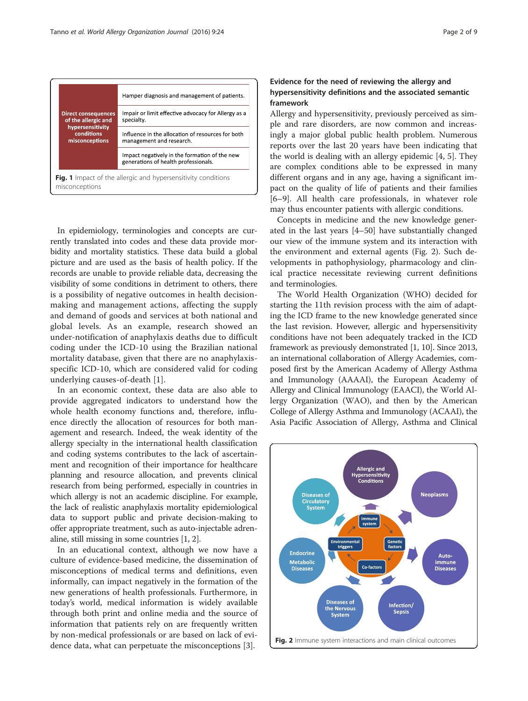<span id="page-1-0"></span>

In epidemiology, terminologies and concepts are currently translated into codes and these data provide morbidity and mortality statistics. These data build a global picture and are used as the basis of health policy. If the records are unable to provide reliable data, decreasing the visibility of some conditions in detriment to others, there is a possibility of negative outcomes in health decisionmaking and management actions, affecting the supply and demand of goods and services at both national and global levels. As an example, research showed an under-notification of anaphylaxis deaths due to difficult coding under the ICD-10 using the Brazilian national mortality database, given that there are no anaphylaxisspecific ICD-10, which are considered valid for coding underlying causes-of-death [\[1](#page-6-0)].

In an economic context, these data are also able to provide aggregated indicators to understand how the whole health economy functions and, therefore, influence directly the allocation of resources for both management and research. Indeed, the weak identity of the allergy specialty in the international health classification and coding systems contributes to the lack of ascertainment and recognition of their importance for healthcare planning and resource allocation, and prevents clinical research from being performed, especially in countries in which allergy is not an academic discipline. For example, the lack of realistic anaphylaxis mortality epidemiological data to support public and private decision-making to offer appropriate treatment, such as auto-injectable adrenaline, still missing in some countries [\[1](#page-6-0), [2](#page-6-0)].

In an educational context, although we now have a culture of evidence-based medicine, the dissemination of misconceptions of medical terms and definitions, even informally, can impact negatively in the formation of the new generations of health professionals. Furthermore, in today's world, medical information is widely available through both print and online media and the source of information that patients rely on are frequently written by non-medical professionals or are based on lack of evidence data, what can perpetuate the misconceptions [[3](#page-6-0)].

# Evidence for the need of reviewing the allergy and hypersensitivity definitions and the associated semantic framework

Allergy and hypersensitivity, previously perceived as simple and rare disorders, are now common and increasingly a major global public health problem. Numerous reports over the last 20 years have been indicating that the world is dealing with an allergy epidemic [[4, 5\]](#page-6-0). They are complex conditions able to be expressed in many different organs and in any age, having a significant impact on the quality of life of patients and their families [[6](#page-6-0)–[9\]](#page-7-0). All health care professionals, in whatever role may thus encounter patients with allergic conditions.

Concepts in medicine and the new knowledge generated in the last years [\[4](#page-6-0)–[50\]](#page-8-0) have substantially changed our view of the immune system and its interaction with the environment and external agents (Fig. 2). Such developments in pathophysiology, pharmacology and clinical practice necessitate reviewing current definitions and terminologies.

The World Health Organization (WHO) decided for starting the 11th revision process with the aim of adapting the ICD frame to the new knowledge generated since the last revision. However, allergic and hypersensitivity conditions have not been adequately tracked in the ICD framework as previously demonstrated [[1,](#page-6-0) [10](#page-7-0)]. Since 2013, an international collaboration of Allergy Academies, composed first by the American Academy of Allergy Asthma and Immunology (AAAAI), the European Academy of Allergy and Clinical Immunology (EAACI), the World Allergy Organization (WAO), and then by the American College of Allergy Asthma and Immunology (ACAAI), the Asia Pacific Association of Allergy, Asthma and Clinical

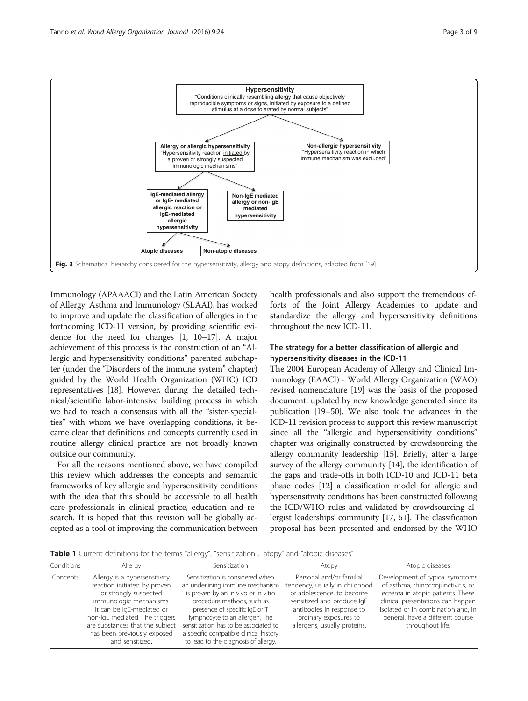<span id="page-2-0"></span>

Immunology (APAAACI) and the Latin American Society of Allergy, Asthma and Immunology (SLAAI), has worked to improve and update the classification of allergies in the forthcoming ICD-11 version, by providing scientific evidence for the need for changes [\[1](#page-6-0), [10](#page-7-0)–[17](#page-7-0)]. A major achievement of this process is the construction of an "Allergic and hypersensitivity conditions" parented subchapter (under the "Disorders of the immune system" chapter) guided by the World Health Organization (WHO) ICD representatives [\[18\]](#page-7-0). However, during the detailed technical/scientific labor-intensive building process in which we had to reach a consensus with all the "sister-specialties" with whom we have overlapping conditions, it became clear that definitions and concepts currently used in routine allergy clinical practice are not broadly known outside our community.

For all the reasons mentioned above, we have compiled this review which addresses the concepts and semantic frameworks of key allergic and hypersensitivity conditions with the idea that this should be accessible to all health care professionals in clinical practice, education and research. It is hoped that this revision will be globally accepted as a tool of improving the communication between health professionals and also support the tremendous efforts of the Joint Allergy Academies to update and standardize the allergy and hypersensitivity definitions throughout the new ICD-11.

# The strategy for a better classification of allergic and hypersensitivity diseases in the ICD-11

The 2004 European Academy of Allergy and Clinical Immunology (EAACI) - World Allergy Organization (WAO) revised nomenclature [[19](#page-7-0)] was the basis of the proposed document, updated by new knowledge generated since its publication [[19](#page-7-0)–[50\]](#page-8-0). We also took the advances in the ICD-11 revision process to support this review manuscript since all the "allergic and hypersensitivity conditions" chapter was originally constructed by crowdsourcing the allergy community leadership [\[15\]](#page-7-0). Briefly, after a large survey of the allergy community [\[14](#page-7-0)], the identification of the gaps and trade-offs in both ICD-10 and ICD-11 beta phase codes [[12](#page-7-0)] a classification model for allergic and hypersensitivity conditions has been constructed following the ICD/WHO rules and validated by crowdsourcing allergist leaderships' community [\[17,](#page-7-0) [51](#page-8-0)]. The classification proposal has been presented and endorsed by the WHO

**Table 1** Current definitions for the terms "allergy", "sensitization", "atopy" and "atopic diseases"

| Conditions | Allergy                                                                                                                                                                                                                                                               | Sensitization                                                                                                                                                                                                                                                                                                                          | Atopy                                                                                                                                                                                                       | Atopic diseases                                                                                                                                                                                                                              |
|------------|-----------------------------------------------------------------------------------------------------------------------------------------------------------------------------------------------------------------------------------------------------------------------|----------------------------------------------------------------------------------------------------------------------------------------------------------------------------------------------------------------------------------------------------------------------------------------------------------------------------------------|-------------------------------------------------------------------------------------------------------------------------------------------------------------------------------------------------------------|----------------------------------------------------------------------------------------------------------------------------------------------------------------------------------------------------------------------------------------------|
| Concepts   | Allergy is a hypersensitivity<br>reaction initiated by proven<br>or strongly suspected<br>immunologic mechanisms.<br>It can be IgE-mediated or<br>non-IgE mediated. The triggers<br>are substances that the subject<br>has been previously exposed<br>and sensitized. | Sensitization is considered when<br>an underlining immune mechanism<br>is proven by an in vivo or in vitro<br>procedure methods, such as<br>presence of specific IgE or T<br>lymphocyte to an allergen. The<br>sensitization has to be associated to<br>a specific compatible clinical history<br>to lead to the diagnosis of allergy. | Personal and/or familial<br>tendency, usually in childhood<br>or adolescence, to become<br>sensitized and produce IqE<br>antibodies in response to<br>ordinary exposures to<br>allergens, usually proteins. | Development of typical symptoms<br>of asthma, rhinoconjunctivitis, or<br>eczema in atopic patients. These<br>clinical presentations can happen<br>isolated or in combination and, in<br>general, have a different course<br>throughout life. |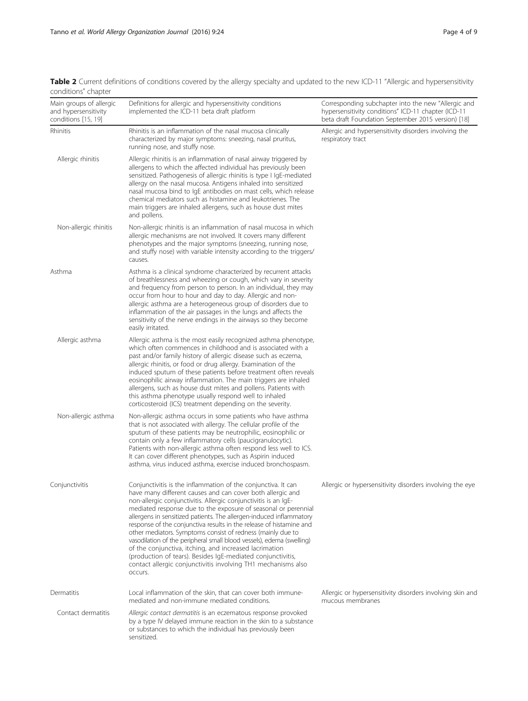| כטווטונוטווט כווטטנכו                                                  |                                                                                                                                                                                                                                                                                                                                                                                                                                                                                                                                                                                                                                                                                                                                                             |                                                                                                                                                                  |
|------------------------------------------------------------------------|-------------------------------------------------------------------------------------------------------------------------------------------------------------------------------------------------------------------------------------------------------------------------------------------------------------------------------------------------------------------------------------------------------------------------------------------------------------------------------------------------------------------------------------------------------------------------------------------------------------------------------------------------------------------------------------------------------------------------------------------------------------|------------------------------------------------------------------------------------------------------------------------------------------------------------------|
| Main groups of allergic<br>and hypersensitivity<br>conditions [15, 19] | Definitions for allergic and hypersensitivity conditions<br>implemented the ICD-11 beta draft platform                                                                                                                                                                                                                                                                                                                                                                                                                                                                                                                                                                                                                                                      | Corresponding subchapter into the new "Allergic and<br>hypersensitivity conditions" ICD-11 chapter (ICD-11<br>beta draft Foundation September 2015 version) [18] |
| Rhinitis                                                               | Rhinitis is an inflammation of the nasal mucosa clinically<br>characterized by major symptoms: sneezing, nasal pruritus,<br>running nose, and stuffy nose.                                                                                                                                                                                                                                                                                                                                                                                                                                                                                                                                                                                                  | Allergic and hypersensitivity disorders involving the<br>respiratory tract                                                                                       |
| Allergic rhinitis                                                      | Allergic rhinitis is an inflammation of nasal airway triggered by<br>allergens to which the affected individual has previously been<br>sensitized. Pathogenesis of allergic rhinitis is type I IgE-mediated<br>allergy on the nasal mucosa. Antigens inhaled into sensitized<br>nasal mucosa bind to lgE antibodies on mast cells, which release<br>chemical mediators such as histamine and leukotrienes. The<br>main triggers are inhaled allergens, such as house dust mites<br>and pollens.                                                                                                                                                                                                                                                             |                                                                                                                                                                  |
| Non-allergic rhinitis                                                  | Non-allergic rhinitis is an inflammation of nasal mucosa in which<br>allergic mechanisms are not involved. It covers many different<br>phenotypes and the major symptoms (sneezing, running nose,<br>and stuffy nose) with variable intensity according to the triggers/<br>causes.                                                                                                                                                                                                                                                                                                                                                                                                                                                                         |                                                                                                                                                                  |
| Asthma                                                                 | Asthma is a clinical syndrome characterized by recurrent attacks<br>of breathlessness and wheezing or cough, which vary in severity<br>and frequency from person to person. In an individual, they may<br>occur from hour to hour and day to day. Allergic and non-<br>allergic asthma are a heterogeneous group of disorders due to<br>inflammation of the air passages in the lungs and affects the<br>sensitivity of the nerve endings in the airways so they become<br>easily irritated.                                                                                                                                                                                                                                                                |                                                                                                                                                                  |
| Allergic asthma                                                        | Allergic asthma is the most easily recognized asthma phenotype,<br>which often commences in childhood and is associated with a<br>past and/or family history of allergic disease such as eczema,<br>allergic rhinitis, or food or drug allergy. Examination of the<br>induced sputum of these patients before treatment often reveals<br>eosinophilic airway inflammation. The main triggers are inhaled<br>allergens, such as house dust mites and pollens. Patients with<br>this asthma phenotype usually respond well to inhaled<br>corticosteroid (ICS) treatment depending on the severity.                                                                                                                                                            |                                                                                                                                                                  |
| Non-allergic asthma                                                    | Non-allergic asthma occurs in some patients who have asthma<br>that is not associated with allergy. The cellular profile of the<br>sputum of these patients may be neutrophilic, eosinophilic or<br>contain only a few inflammatory cells (paucigranulocytic).<br>Patients with non-allergic asthma often respond less well to ICS.<br>It can cover different phenotypes, such as Aspirin induced<br>asthma, virus induced asthma, exercise induced bronchospasm.                                                                                                                                                                                                                                                                                           |                                                                                                                                                                  |
| Conjunctivitis                                                         | Conjunctivitis is the inflammation of the conjunctiva. It can<br>have many different causes and can cover both allergic and<br>non-allergic conjunctivitis. Allergic conjunctivitis is an IgE-<br>mediated response due to the exposure of seasonal or perennial<br>allergens in sensitized patients. The allergen-induced inflammatory<br>response of the conjunctiva results in the release of histamine and<br>other mediators. Symptoms consist of redness (mainly due to<br>vasodilation of the peripheral small blood vessels), edema (swelling)<br>of the conjunctiva, itching, and increased lacrimation<br>(production of tears). Besides IgE-mediated conjunctivitis,<br>contact allergic conjunctivitis involving TH1 mechanisms also<br>occurs. | Allergic or hypersensitivity disorders involving the eye                                                                                                         |
| Dermatitis                                                             | Local inflammation of the skin, that can cover both immune-<br>mediated and non-immune mediated conditions.                                                                                                                                                                                                                                                                                                                                                                                                                                                                                                                                                                                                                                                 | Allergic or hypersensitivity disorders involving skin and<br>mucous membranes                                                                                    |
| Contact dermatitis                                                     | Allergic contact dermatitis is an eczematous response provoked<br>by a type IV delayed immune reaction in the skin to a substance<br>or substances to which the individual has previously been<br>sensitized.                                                                                                                                                                                                                                                                                                                                                                                                                                                                                                                                               |                                                                                                                                                                  |

<span id="page-3-0"></span>Table 2 Current definitions of conditions covered by the allergy specialty and updated to the new ICD-11 "Allergic and hypersensitivity conditions" chapter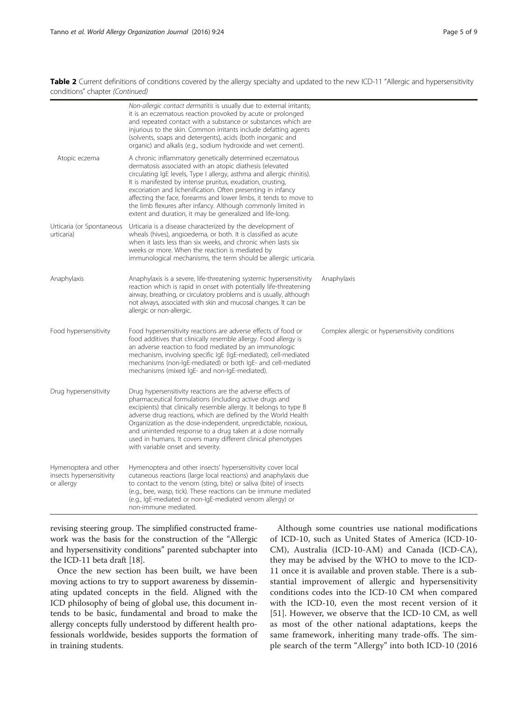Table 2 Current definitions of conditions covered by the allergy specialty and updated to the new ICD-11 "Allergic and hypersensitivity conditions" chapter (Continued)

|                                                                 | Non-allergic contact dermatitis is usually due to external irritants;<br>it is an eczematous reaction provoked by acute or prolonged<br>and repeated contact with a substance or substances which are<br>injurious to the skin. Common irritants include defatting agents<br>(solvents, soaps and detergents), acids (both inorganic and<br>organic) and alkalis (e.g., sodium hydroxide and wet cement).                                                                                                                       |                                                 |
|-----------------------------------------------------------------|---------------------------------------------------------------------------------------------------------------------------------------------------------------------------------------------------------------------------------------------------------------------------------------------------------------------------------------------------------------------------------------------------------------------------------------------------------------------------------------------------------------------------------|-------------------------------------------------|
| Atopic eczema                                                   | A chronic inflammatory genetically determined eczematous<br>dermatosis associated with an atopic diathesis (elevated<br>circulating IgE levels, Type I allergy, asthma and allergic rhinitis).<br>It is manifested by intense pruritus, exudation, crusting,<br>excoriation and lichenification. Often presenting in infancy<br>affecting the face, forearms and lower limbs, it tends to move to<br>the limb flexures after infancy. Although commonly limited in<br>extent and duration, it may be generalized and life-long. |                                                 |
| Urticaria (or Spontaneous<br>urticaria)                         | Urticaria is a disease characterized by the development of<br>wheals (hives), angioedema, or both. It is classified as acute<br>when it lasts less than six weeks, and chronic when lasts six<br>weeks or more. When the reaction is mediated by<br>immunological mechanisms, the term should be allergic urticaria.                                                                                                                                                                                                            |                                                 |
| Anaphylaxis                                                     | Anaphylaxis is a severe, life-threatening systemic hypersensitivity<br>reaction which is rapid in onset with potentially life-threatening<br>airway, breathing, or circulatory problems and is usually, although<br>not always, associated with skin and mucosal changes. It can be<br>allergic or non-allergic.                                                                                                                                                                                                                | Anaphylaxis                                     |
| Food hypersensitivity                                           | Food hypersensitivity reactions are adverse effects of food or<br>food additives that clinically resemble allergy. Food allergy is<br>an adverse reaction to food mediated by an immunologic<br>mechanism, involving specific IgE (IgE-mediated), cell-mediated<br>mechanisms (non-IgE-mediated) or both IgE- and cell-mediated<br>mechanisms (mixed IgE- and non-IgE-mediated).                                                                                                                                                | Complex allergic or hypersensitivity conditions |
| Drug hypersensitivity                                           | Drug hypersensitivity reactions are the adverse effects of<br>pharmaceutical formulations (including active drugs and<br>excipients) that clinically resemble allergy. It belongs to type B<br>adverse drug reactions, which are defined by the World Health<br>Organization as the dose-independent, unpredictable, noxious,<br>and unintended response to a drug taken at a dose normally<br>used in humans. It covers many different clinical phenotypes<br>with variable onset and severity.                                |                                                 |
| Hymenoptera and other<br>insects hypersensitivity<br>or allergy | Hymenoptera and other insects' hypersensitivity cover local<br>cutaneous reactions (large local reactions) and anaphylaxis due<br>to contact to the venom (sting, bite) or saliva (bite) of insects<br>(e.g., bee, wasp, tick). These reactions can be immune mediated<br>(e.g., IgE-mediated or non-IgE-mediated venom allergy) or<br>non-immune mediated.                                                                                                                                                                     |                                                 |

revising steering group. The simplified constructed framework was the basis for the construction of the "Allergic and hypersensitivity conditions" parented subchapter into the ICD-11 beta draft [\[18](#page-7-0)].

Once the new section has been built, we have been moving actions to try to support awareness by disseminating updated concepts in the field. Aligned with the ICD philosophy of being of global use, this document intends to be basic, fundamental and broad to make the allergy concepts fully understood by different health professionals worldwide, besides supports the formation of in training students.

Although some countries use national modifications of ICD-10, such as United States of America (ICD-10- CM), Australia (ICD-10-AM) and Canada (ICD-CA), they may be advised by the WHO to move to the ICD-11 once it is available and proven stable. There is a substantial improvement of allergic and hypersensitivity conditions codes into the ICD-10 CM when compared with the ICD-10, even the most recent version of it [[51\]](#page-8-0). However, we observe that the ICD-10 CM, as well as most of the other national adaptations, keeps the same framework, inheriting many trade-offs. The simple search of the term "Allergy" into both ICD-10 (2016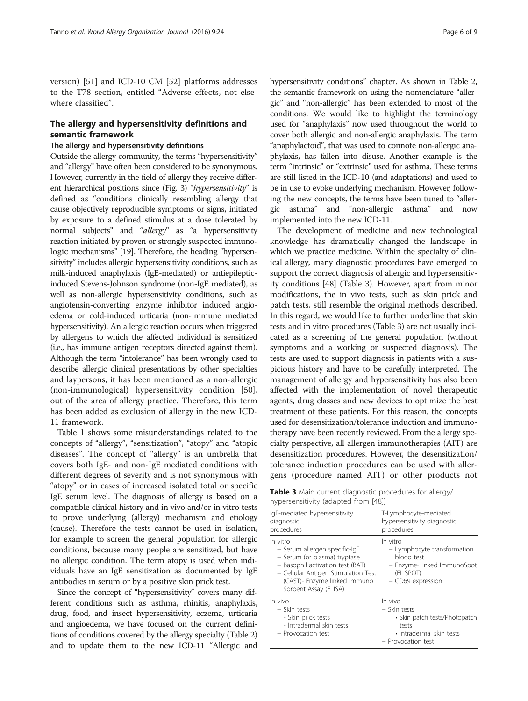version) [[51](#page-8-0)] and ICD-10 CM [[52\]](#page-8-0) platforms addresses to the T78 section, entitled "Adverse effects, not elsewhere classified".

# The allergy and hypersensitivity definitions and semantic framework

# The allergy and hypersensitivity definitions

Outside the allergy community, the terms "hypersensitivity" and "allergy" have often been considered to be synonymous. However, currently in the field of allergy they receive different hierarchical positions since (Fig. [3](#page-2-0)) "hypersensitivity" is defined as "conditions clinically resembling allergy that cause objectively reproducible symptoms or signs, initiated by exposure to a defined stimulus at a dose tolerated by normal subjects" and "allergy" as "a hypersensitivity reaction initiated by proven or strongly suspected immuno-logic mechanisms" [\[19\]](#page-7-0). Therefore, the heading "hypersensitivity" includes allergic hypersensitivity conditions, such as milk-induced anaphylaxis (IgE-mediated) or antiepilepticinduced Stevens-Johnson syndrome (non-IgE mediated), as well as non-allergic hypersensitivity conditions, such as angiotensin-converting enzyme inhibitor induced angioedema or cold-induced urticaria (non-immune mediated hypersensitivity). An allergic reaction occurs when triggered by allergens to which the affected individual is sensitized (i.e., has immune antigen receptors directed against them). Although the term "intolerance" has been wrongly used to describe allergic clinical presentations by other specialties and laypersons, it has been mentioned as a non-allergic (non-immunological) hypersensitivity condition [\[50](#page-8-0)], out of the area of allergy practice. Therefore, this term has been added as exclusion of allergy in the new ICD-11 framework.

Table [1](#page-2-0) shows some misunderstandings related to the concepts of "allergy", "sensitization", "atopy" and "atopic diseases". The concept of "allergy" is an umbrella that covers both IgE- and non-IgE mediated conditions with different degrees of severity and is not synonymous with "atopy" or in cases of increased isolated total or specific IgE serum level. The diagnosis of allergy is based on a compatible clinical history and in vivo and/or in vitro tests to prove underlying (allergy) mechanism and etiology (cause). Therefore the tests cannot be used in isolation, for example to screen the general population for allergic conditions, because many people are sensitized, but have no allergic condition. The term atopy is used when individuals have an IgE sensitization as documented by IgE antibodies in serum or by a positive skin prick test.

Since the concept of "hypersensitivity" covers many different conditions such as asthma, rhinitis, anaphylaxis, drug, food, and insect hypersensitivity, eczema, urticaria and angioedema, we have focused on the current definitions of conditions covered by the allergy specialty (Table [2](#page-3-0)) and to update them to the new ICD-11 "Allergic and hypersensitivity conditions" chapter. As shown in Table [2](#page-3-0), the semantic framework on using the nomenclature "allergic" and "non-allergic" has been extended to most of the conditions. We would like to highlight the terminology used for "anaphylaxis" now used throughout the world to cover both allergic and non-allergic anaphylaxis. The term "anaphylactoid", that was used to connote non-allergic anaphylaxis, has fallen into disuse. Another example is the term "intrinsic" or "extrinsic" used for asthma. These terms are still listed in the ICD-10 (and adaptations) and used to be in use to evoke underlying mechanism. However, following the new concepts, the terms have been tuned to "allergic asthma" and "non-allergic asthma" and now implemented into the new ICD-11.

The development of medicine and new technological knowledge has dramatically changed the landscape in which we practice medicine. Within the specialty of clinical allergy, many diagnostic procedures have emerged to support the correct diagnosis of allergic and hypersensitivity conditions [\[48\]](#page-8-0) (Table 3). However, apart from minor modifications, the in vivo tests, such as skin prick and patch tests, still resemble the original methods described. In this regard, we would like to further underline that skin tests and in vitro procedures (Table 3) are not usually indicated as a screening of the general population (without symptoms and a working or suspected diagnosis). The tests are used to support diagnosis in patients with a suspicious history and have to be carefully interpreted. The management of allergy and hypersensitivity has also been affected with the implementation of novel therapeutic agents, drug classes and new devices to optimize the best treatment of these patients. For this reason, the concepts used for desensitization/tolerance induction and immunotherapy have been recently reviewed. From the allergy specialty perspective, all allergen immunotherapies (AIT) are desensitization procedures. However, the desensitization/ tolerance induction procedures can be used with allergens (procedure named AIT) or other products not

| <b>Table 3</b> Main current diagnostic procedures for allergy/ |  |
|----------------------------------------------------------------|--|
| hypersensitivity (adapted from [48])                           |  |

| IgE-mediated hypersensitivity<br>diagnostic<br>procedures                                                                                                                                                     | T-Lymphocyte-mediated<br>hypersensitivity diagnostic<br>procedures                                                    |  |
|---------------------------------------------------------------------------------------------------------------------------------------------------------------------------------------------------------------|-----------------------------------------------------------------------------------------------------------------------|--|
| In vitro<br>- Serum allergen specific-IgE<br>- Serum (or plasma) tryptase<br>- Basophil activation test (BAT)<br>- Cellular Antigen Stimulation Test<br>(CAST)- Enzyme linked Immuno<br>Sorbent Assay (ELISA) | In vitro<br>- Lymphocyte transformation<br>blood test<br>- Enzyme-Linked ImmunoSpot<br>(ELISPOT)<br>- CD69 expression |  |
| In vivo<br>– Skin tests<br>• Skin prick tests<br>· Intradermal skin tests<br>- Provocation test                                                                                                               | In vivo<br>- Skin tests<br>• Skin patch tests/Photopatch<br>tests<br>• Intradermal skin tests<br>- Provocation test   |  |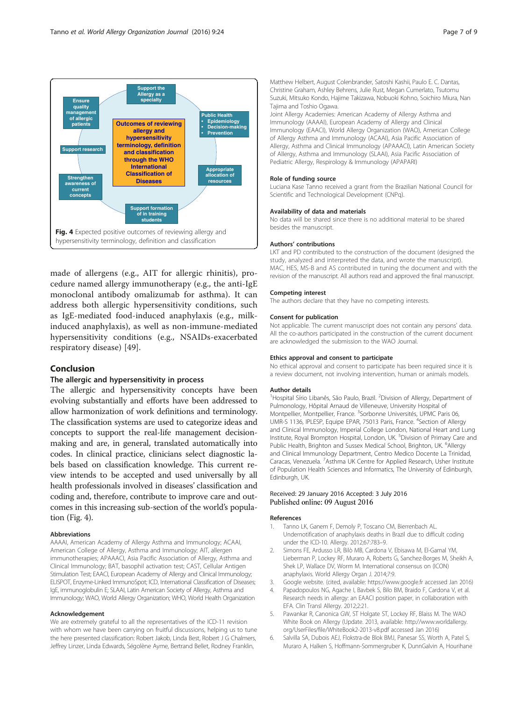<span id="page-6-0"></span>

made of allergens (e.g., AIT for allergic rhinitis), procedure named allergy immunotherapy (e.g., the anti-IgE monoclonal antibody omalizumab for asthma). It can address both allergic hypersensitivity conditions, such as IgE-mediated food-induced anaphylaxis (e.g., milkinduced anaphylaxis), as well as non-immune-mediated hypersensitivity conditions (e.g., NSAIDs-exacerbated respiratory disease) [\[49](#page-8-0)].

## Conclusion

# The allergic and hypersensitivity in process

The allergic and hypersensitivity concepts have been evolving substantially and efforts have been addressed to allow harmonization of work definitions and terminology. The classification systems are used to categorize ideas and concepts to support the real-life management decisionmaking and are, in general, translated automatically into codes. In clinical practice, clinicians select diagnostic labels based on classification knowledge. This current review intends to be accepted and used universally by all health professionals involved in diseases' classification and coding and, therefore, contribute to improve care and outcomes in this increasing sub-section of the world's population (Fig. 4).

#### Abbreviations

AAAAI, American Academy of Allergy Asthma and Immunology; ACAAI, American College of Allergy, Asthma and Immunology; AIT, allergen immunotherapies; APAAACI, Asia Pacific Association of Allergy, Asthma and Clinical Immunology; BAT, basophil activation test; CAST, Cellular Antigen Stimulation Test; EAACI, European Academy of Allergy and Clinical Immunology; ELISPOT, Enzyme-Linked ImmunoSpot; ICD, International Classification of Diseases; IgE, immunoglobulin E; SLAAI, Latin American Society of Allergy, Asthma and Immunology; WAO, World Allergy Organization; WHO, World Health Organization

#### Acknowledgement

We are extremely grateful to all the representatives of the ICD-11 revision with whom we have been carrying on fruitful discussions, helping us to tune the here presented classification: Robert Jakob, Linda Best, Robert J G Chalmers, Jeffrey Linzer, Linda Edwards, Ségolène Ayme, Bertrand Bellet, Rodney Franklin,

Matthew Helbert, August Colenbrander, Satoshi Kashii, Paulo E. C. Dantas, Christine Graham, Ashley Behrens, Julie Rust, Megan Cumerlato, Tsutomu Suzuki, Mitsuko Kondo, Hajime Takizawa, Nobuoki Kohno, Soichiro Miura, Nan Tajima and Toshio Ogawa.

Joint Allergy Academies: American Academy of Allergy Asthma and Immunology (AAAAI), European Academy of Allergy and Clinical Immunology (EAACI), World Allergy Organization (WAO), American College of Allergy Asthma and Immunology (ACAAI), Asia Pacific Association of Allergy, Asthma and Clinical Immunology (APAAACI), Latin American Society of Allergy, Asthma and Immunology (SLAAI), Asia Pacific Association of Pediatric Allergy, Respirology & Immunology (APAPARI)

### Role of funding source

Luciana Kase Tanno received a grant from the Brazilian National Council for Scientific and Technological Development (CNPq).

#### Availability of data and materials

No data will be shared since there is no additional material to be shared besides the manuscript.

#### Authors' contributions

LKT and PD contributed to the construction of the document (designed the study, analyzed and interpreted the data, and wrote the manuscript). MAC, HES, MS-B and AS contributed in tuning the document and with the revision of the manuscript. All authors read and approved the final manuscript.

#### Competing interest

The authors declare that they have no competing interests.

#### Consent for publication

Not applicable. The current manuscript does not contain any persons' data. All the co-authors participated in the construction of the current document are acknowledged the submission to the WAO Journal.

#### Ethics approval and consent to participate

No ethical approval and consent to participate has been required since it is a review document, not involving intervention, human or animals models.

#### Author details

<sup>1</sup> Hospital Sírio Libanês, São Paulo, Brazil. <sup>2</sup> Division of Allergy, Department of Pulmonology, Hôpital Arnaud de Villeneuve, University Hospital of Montpellier, Montpellier, France. <sup>3</sup>Sorbonne Universités, UPMC Paris 06, UMR-S 1136, IPLESP, Equipe EPAR, 75013 Paris, France. <sup>4</sup>Section of Allergy and Clinical Immunology, Imperial College London, National Heart and Lung Institute, Royal Brompton Hospital, London, UK. <sup>5</sup> Division of Primary Care and Public Health, Brighton and Sussex Medical School, Brighton, UK. <sup>6</sup>Allergy and Clinical Immunology Department, Centro Medico Docente La Trinidad, Caracas, Venezuela. <sup>7</sup> Asthma UK Centre for Applied Research, Usher Institute of Population Health Sciences and Informatics, The University of Edinburgh, Edinburgh, UK.

### Received: 29 January 2016 Accepted: 3 July 2016 Published online: 09 August 2016

#### References

- 1. Tanno LK, Ganem F, Demoly P, Toscano CM, Bierrenbach AL. Undernotification of anaphylaxis deaths in Brazil due to difficult coding under the ICD-10. Allergy. 2012;67:783–9.
- 2. Simons FE, Ardusso LR, Bilò MB, Cardona V, Ebisawa M, El-Gamal YM, Lieberman P, Lockey RF, Muraro A, Roberts G, Sanchez-Borges M, Sheikh A, Shek LP, Wallace DV, Worm M. International consensus on (ICON) anaphylaxis. World Allergy Organ J. 2014;7:9.
- 3. Google website. (cited, available:<https://www.google.fr> accessed Jan 2016)
- 4. Papadopoulos NG, Agache I, Bavbek S, Bilo BM, Braido F, Cardona V, et al. Research needs in allergy: an EAACI position paper, in collaboration with EFA. Clin Transl Allergy. 2012;2:21.
- 5. Pawankar R, Canonica GW, ST Holgate ST, Lockey RF, Blaiss M. The WAO White Book on Allergy (Update. 2013, available: [http://www.worldallergy.](http://www.worldallergy.org/UserFiles/file/WhiteBook2-2013-v8.pdf) [org/UserFiles/file/WhiteBook2-2013-v8.pdf](http://www.worldallergy.org/UserFiles/file/WhiteBook2-2013-v8.pdf) accessed Jan 2016)
- 6. Salvilla SA, Dubois AEJ, Flokstra-de Blok BMJ, Panesar SS, Worth A, Patel S, Muraro A, Halken S, Hoffmann-Sommergruber K, DunnGalvin A, Hourihane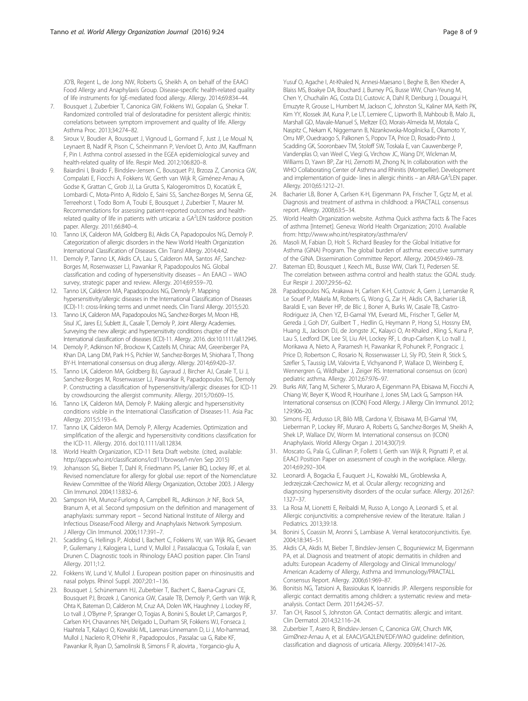<span id="page-7-0"></span>JO'B, Regent L, de Jong NW, Roberts G, Sheikh A, on behalf of the EAACI Food Allergy and Anaphylaxis Group. Disease-specific health-related quality of life instruments for IgE-mediated food allergy. Allergy. 2014;69:834–44.

- 7. Bousquet J, Zuberbier T, Canonica GW, Fokkens WJ, Gopalan G, Shekar T. Randomized controlled trial of desloratadine for persistent allergic rhinitis: correlations between symptom improvement and quality of life. Allergy Asthma Proc. 2013;34:274–82.
- Siroux V, Boudier A, Bousquet J, Vignoud L, Gormand F, Just J, Le Moual N, Leynaert B, Nadif R, Pison C, Scheinmann P, Vervloet D, Anto JM, Kauffmann F, Pin I. Asthma control assessed in the EGEA epidemiological survey and health-related quality of life. Respir Med. 2012;106:820–8.
- 9. Baiardini I, Braido F, Bindslev-Jensen C, Bousquet PJ, Brzoza Z, Canonica GW, Compalati E, Fiocchi A, Fokkens W, Gerth van Wijk R, Giménez-Arnau A, Godse K, Grattan C, Grob JJ, La Grutta S, Kalogeromitros D, Kocatürk E, Lombardi C, Mota-Pinto A, Ridolo E, Saini SS, Sanchez-Borges M, Senna GE, Terreehorst I, Todo Bom A, Toubi E, Bousquet J, Zuberbier T, Maurer M. Recommendations for assessing patient-reported outcomes and healthrelated quality of life in patients with urticaria: a GA<sup>2</sup>LEN taskforce position paper. Allergy. 2011;66:840–4.
- 10. Tanno LK, Calderon MA, Goldberg BJ, Akdis CA, Papadopoulos NG, Demoly P. Categorization of allergic disorders in the New World Health Organization International Classification of Diseases. Clin Transl Allergy. 2014;4:42.
- 11. Demoly P, Tanno LK, Akdis CA, Lau S, Calderon MA, Santos AF, Sanchez-Borges M, Rosenwasser LJ, Pawankar R, Papadopoulos NG. Global classification and coding of hypersensitivity diseases – An EAACI – WAO survey, strategic paper and review. Allergy. 2014;69:559–70.
- 12. Tanno LK, Calderon MA, Papadopoulos NG, Demoly P. Mapping hypersensitivity/allergic diseases in the International Classification of Diseases (ICD)-11: cross-linking terms and unmet needs. Clin Transl Allergy. 2015;5:20.
- 13. Tanno LK, Calderon MA, Papadopoulos NG, Sanchez-Borges M, Moon HB, Sisul JC, Jares EJ, Sublett JL, Casale T, Demoly P, Joint Allergy Academies. Surveying the new allergic and hypersensitivity conditions chapter of the International classification of diseases (ICD)-11. Allergy. 2016. doi[:10.1111/all.12945.](http://dx.doi.org/10.1111/all.12945)
- 14. Demoly P, Adkinson NF, Brockow K, Castells M, Chiriac AM, Greenberger PA, Khan DA, Lang DM, Park H-S, Pichler W, Sanchez-Borges M, Shiohara T, Thong BY-H. International consensus on drug allergy. Allergy. 2014;69:420–37.
- 15. Tanno LK, Calderon MA, Goldberg BJ, Gayraud J, Bircher AJ, Casale T, Li J, Sanchez-Borges M, Rosenwasser LJ, Pawankar R, Papadopoulos NG, Demoly P. Constructing a classification of hypersensitivity/allergic diseases for ICD-11 by crowdsourcing the allergist community. Allergy. 2015;70:609–15.
- 16. Tanno LK, Calderon MA, Demoly P. Making allergic and hypersensitivity conditions visible in the International Classification of Diseases-11. Asia Pac Allergy. 2015;5:193–6.
- 17. Tanno LK, Calderon MA, Demoly P, Allergy Academies. Optimization and simplification of the allergic and hypersensitivity conditions classification for the ICD-11. Allergy. 2016. doi:[10.1111/all.12834](http://dx.doi.org/10.1111/all.12834).
- 18. World Health Organization, ICD-11 Beta Draft website. (cited, available: <http://apps.who.int/classifications/icd11/browse/l-m/en> Sep 2015)
- 19. Johansson SG, Bieber T, Dahl R, Friedmann PS, Lanier BQ, Lockey RF, et al. Revised nomenclature for allergy for global use: report of the Nomenclature Review Committee of the World Allergy Organization, October 2003. J Allergy Clin Immunol. 2004;113:832–6.
- Sampson HA, Munoz-Furlong A, Campbell RL, Adkinson Jr NF, Bock SA, Branum A, et al. Second symposium on the definition and management of anaphylaxis: summary report – Second National Institute of Allergy and Infectious Disease/Food Allergy and Anaphylaxis Network Symposium. J Allergy Clin Immunol. 2006;117:391–7.
- 21. Scadding G, Hellings P, Alobid I, Bachert C, Fokkens W, van Wijk RG, Gevaert P, Guilemany J, Kalogjera L, Lund V, Mullol J, Passalacqua G, Toskala E, van Drunen C. Diagnostic tools in Rhinology EAACI position paper. Clin Transl Allergy. 2011;1:2.
- 22. Fokkens W, Lund V, Mullol J. European position paper on rhinosinusitis and nasal polyps. Rhinol Suppl. 2007;20:1–136.
- 23. Bousquet J, Schünemann HJ, Zuberbier T, Bachert C, Baena-Cagnani CE, Bousquet PJ, Brozek J, Canonica GW, Casale TB, Demoly P, Gerth van Wijk R, Ohta K, Bateman D, Calderon M, Cruz AA, Dolen WK, Haughney J, Lockey RF, Lo tvall J, O'Byrne P, Spranger O, Togias A, Bonini S, Boulet LP, Camargos P, Carlsen KH, Chavannes NH, Delgado L, Durham SR, Fokkens WJ, Fonseca J, Haahtela T, Kalayci O, Kowalski ML, Larenas-Linnemann D, Li J, Mo-hammad, Mullol J, Naclerio R, O'Hehir R , Papadopoulos , Passalac ua G, Rabe KF, Pawankar R, Ryan D, Samolinski B, Simons F R, alovirta , Yorgancio-glu A,

Yusuf O, Agache I, At-Khaled N, Annesi-Maesano I, Beghe B, Ben Kheder A, Blaiss MS, Boakye DA, Bouchard J, Burney PG, Busse WW, Chan-Yeung M, Chen Y, Chuchalin AG, Costa DJ, Custovic A, Dahl R, Denburg J, Douagui H, Emuzyte R, Grouse L, Humbert M, Jackson C, Johnston SL, Kaliner MA, Keith PK, Kim YY, Klossek JM, Kuna P, Le LT, Lemiere C, Lipworth B, Mahboub B, Malo JL, Marshall GD, Mavale-Manuel S, Meltzer EO, Morais-Almeida M, Motala C, Naspitz C, Nekam K, Niggemann B, Nizankowska-Mogilnicka E, Okamoto Y, Orru MP, Ouedraogo S, Palkonen S, Popov TA, Price D, Rosado-Pinto J, Scadding GK, Sooronbaev TM, Stoloff SW, Toskala E, van Cauwenberge P, Vandenplas O, van Weel C, Viegi G, Virchow JC, Wang DY, Wickman M, Williams D, Yawn BP, Zar HJ, Zernotti M, Zhong N, In collaboration with the WHO Collaborating Center of Asthma and Rhinitis (Montpellier). Development and implementation of guide- lines in allergic rhinitis - an ARIA-GA<sup>2</sup>LEN paper. Allergy. 2010;65:1212–21.

- 24. Bacharier LB, Boner A, Carlsen K-H, Eigenmann PA, Frischer T, Gçtz M, et al. Diagnosis and treatment of asthma in childhood: a PRACTALL consensus report. Allergy. 2008;63:5–34.
- 25. World Health Organization website. Asthma Quick asthma facts & The Faces of asthma [Internet]. Geneva: World Health Organization; 2010. Available from:<http://www.who.int/respiratory/asthma/en/>
- 26. Masoli M, Fabian D, Holt S. Richard Beasley for the Global Initiative for Asthma (GINA) Program. The global burden of asthma: executive summary of the GINA. Dissemination Committee Report. Allergy. 2004;59:469–78.
- 27. Bateman ED, Bousquet J, Keech ML, Busse WW, Clark TJ, Pedersen SE. The correlation between asthma control and health status: the GOAL study. Eur Respir J. 2007;29:56–62.
- 28. Papadopoulos NG, Arakawa H, Carlsen K-H, Custovic A, Gern J, Lemanske R, Le Souef P, Makela M, Roberts G, Wong G, Zar H, Akdis CA, Bacharier LB, Baraldi E, van Bever HP, de Blic J, Boner A, Burks W, Casale TB, Castro-Rodriguez JA, Chen YZ, El-Gamal YM, Everard ML, Frischer T, Geller M, Gereda J, Goh DY, Guilbert T , Hedlin G, Heymann P, Hong SJ, Hossny EM, Huang JL, Jackson DJ, de Jongste JC, Kalayci O, At-Khaled , Kling S, Kuna P, Lau S, Ledford DK, Lee SI, Liu AH, Lockey RF, L drup-Carlsen K, Lo tvall J, Morikawa A, Nieto A, Paramesh H, Pawankar R, Pohunek P, Pongracic J, Price D, Robertson C, Rosario N, Rossenwasser LJ, Sly PD, Stein R, Stick S, Szefler S, Taussig LM, Valovirta E, Vichyanond P, Wallace D, Weinberg E, Wennergren G, Wildhaber J, Zeiger RS. International consensus on (icon) pediatric asthma. Allergy. 2012;67:976–97.
- 29. Burks AW, Tang M, Sicherer S, Muraro A, Eigenmann PA, Ebisawa M, Fiocchi A, Chiang W, Beyer K, Wood R, Hourihane J, Jones SM, Lack G, Sampson HA. International consensus on (ICON) Food Allergy. J Allergy Clin Immunol. 2012; 129:906–20.
- 30. Simons FE, Ardusso LR, Bilò MB, Cardona V, Ebisawa M, El-Gamal YM, Lieberman P, Lockey RF, Muraro A, Roberts G, Sanchez-Borges M, Sheikh A, Shek LP, Wallace DV, Worm M. International consensus on (ICON) Anaphylaxis. World Allergy Organ J. 2014;30(7):9.
- 31. Moscato G, Pala G, Cullinan P, Folletti I, Gerth van Wijk R, Pignatti P, et al. EAACI Position Paper on assessment of cough in the workplace. Allergy. 2014;69:292–304.
- 32. Leonardi A, Bogacka E, Fauquert J-L, Kowalski ML, Groblewska A, Jedrzejczak-Czechowicz M, et al. Ocular allergy: recognizing and diagnosing hypersensitivity disorders of the ocular surface. Allergy. 2012;67: 1327–37.
- 33. La Rosa M, Lionetti E, Reibaldi M, Russo A, Longo A, Leonardi S, et al. Allergic conjunctivitis: a comprehensive review of the literature. Italian J Pediatrics. 2013;39:18.
- 34. Bonini S, Coassin M, Aronni S, Lambiase A. Vernal keratoconjunctivitis. Eye. 2004;18:345–51.
- 35. Akdis CA, Akdis M, Bieber T, Bindslev-Jensen C, Boguniewicz M, Eigenmann PA, et al. Diagnosis and treatment of atopic dermatitis in children and adults: European Academy of Allergology and Clinical Immunology/ American Academy of Allergy, Asthma and Immunology/PRACTALL Consensus Report. Allergy. 2006;61:969–87.
- 36. Bonitsis NG, Tatsioni A, Bassioukas K, Ioannidis JP. Allergens responsible for allergic contact dermatitis among children: a systematic review and metaanalysis. Contact Derm. 2011;64:245–57.
- 37. Tan CH, Rasool S, Johnston GA. Contact dermatitis: allergic and irritant. Clin Dermatol. 2014;32:116–24.
- 38. Zuberbier T, Asero R, Bindslev-Jensen C, Canonica GW, Church MK, GimØnez-Arnau A, et al. EAACI/GA2LEN/EDF/WAO guideline: definition, classification and diagnosis of urticaria. Allergy. 2009;64:1417–26.